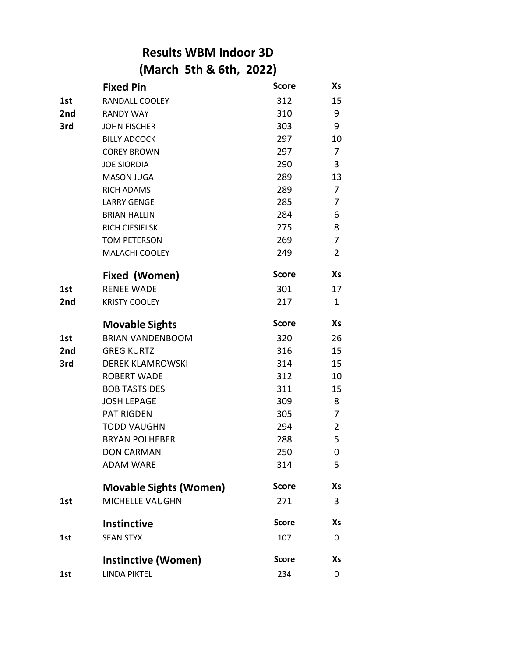## **Results WBM Indoor 3D (March 5th & 6th, 2022)**

| <b>Fixed Pin</b>              | <b>Score</b> | Χs             |
|-------------------------------|--------------|----------------|
| RANDALL COOLEY                | 312          | 15             |
| <b>RANDY WAY</b>              | 310          | 9              |
| <b>JOHN FISCHER</b>           | 303          | 9              |
| <b>BILLY ADCOCK</b>           | 297          | 10             |
| <b>COREY BROWN</b>            | 297          | 7              |
| <b>JOE SIORDIA</b>            | 290          | 3              |
| <b>MASON JUGA</b>             | 289          | 13             |
| <b>RICH ADAMS</b>             | 289          | 7              |
| <b>LARRY GENGE</b>            | 285          | 7              |
| <b>BRIAN HALLIN</b>           | 284          | 6              |
| <b>RICH CIESIELSKI</b>        | 275          | 8              |
| <b>TOM PETERSON</b>           | 269          | $\overline{7}$ |
| MALACHI COOLEY                | 249          | $\overline{2}$ |
| Fixed (Women)                 | <b>Score</b> | Xs             |
| <b>RENEE WADE</b>             | 301          | 17             |
| <b>KRISTY COOLEY</b>          | 217          | 1              |
| <b>Movable Sights</b>         | <b>Score</b> | Xs             |
| <b>BRIAN VANDENBOOM</b>       | 320          | 26             |
| <b>GREG KURTZ</b>             | 316          | 15             |
| <b>DEREK KLAMROWSKI</b>       | 314          | 15             |
| <b>ROBERT WADE</b>            | 312          | 10             |
| <b>BOB TASTSIDES</b>          | 311          | 15             |
| <b>JOSH LEPAGE</b>            | 309          | 8              |
| <b>PAT RIGDEN</b>             | 305          | $\overline{7}$ |
| <b>TODD VAUGHN</b>            | 294          | $\overline{2}$ |
| <b>BRYAN POLHEBER</b>         | 288          | 5              |
| <b>DON CARMAN</b>             | 250          | 0              |
| <b>ADAM WARE</b>              | 314          | 5              |
| <b>Movable Sights (Women)</b> | <b>Score</b> | Xs             |
| <b>MICHELLE VAUGHN</b>        | 271          | 3              |
| Instinctive                   | <b>Score</b> | Xs             |
| <b>SEAN STYX</b>              | 107          | 0              |
| <b>Instinctive (Women)</b>    | <b>Score</b> | Хs             |
| <b>LINDA PIKTEL</b>           | 234          | 0              |
|                               |              |                |